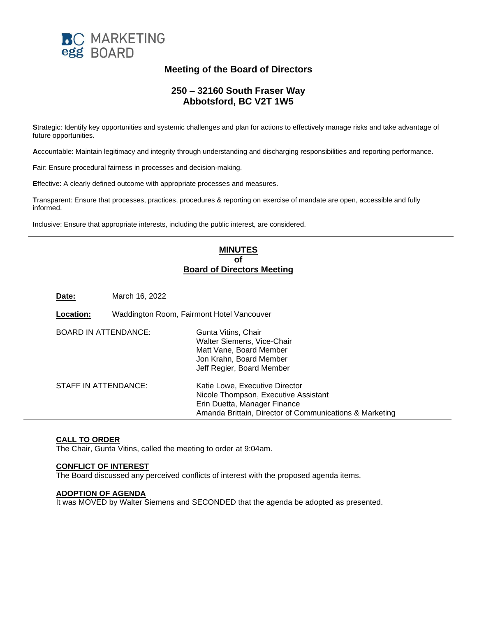

# **Meeting of the Board of Directors**

# **250 – 32160 South Fraser Way Abbotsford, BC V2T 1W5**

**S**trategic: Identify key opportunities and systemic challenges and plan for actions to effectively manage risks and take advantage of future opportunities.

**A**ccountable: Maintain legitimacy and integrity through understanding and discharging responsibilities and reporting performance.

**F**air: Ensure procedural fairness in processes and decision-making.

**E**ffective: A clearly defined outcome with appropriate processes and measures.

**T**ransparent: Ensure that processes, practices, procedures & reporting on exercise of mandate are open, accessible and fully informed.

**I**nclusive: Ensure that appropriate interests, including the public interest, are considered.

# **MINUTES of Board of Directors Meeting**

**Date:** March 16, 2022

| Location:                   | Waddington Room, Fairmont Hotel Vancouver |                                                                                                                                                                   |
|-----------------------------|-------------------------------------------|-------------------------------------------------------------------------------------------------------------------------------------------------------------------|
| <b>BOARD IN ATTENDANCE:</b> |                                           | Gunta Vitins, Chair<br>Walter Siemens, Vice-Chair<br>Matt Vane, Board Member<br>Jon Krahn, Board Member<br>Jeff Regier, Board Member                              |
| STAFF IN ATTENDANCE:        |                                           | Katie Lowe, Executive Director<br>Nicole Thompson, Executive Assistant<br>Erin Duetta, Manager Finance<br>Amanda Brittain, Director of Communications & Marketing |

# **CALL TO ORDER**

The Chair, Gunta Vitins, called the meeting to order at 9:04am.

# **CONFLICT OF INTEREST**

The Board discussed any perceived conflicts of interest with the proposed agenda items.

#### **ADOPTION OF AGENDA**

It was MOVED by Walter Siemens and SECONDED that the agenda be adopted as presented.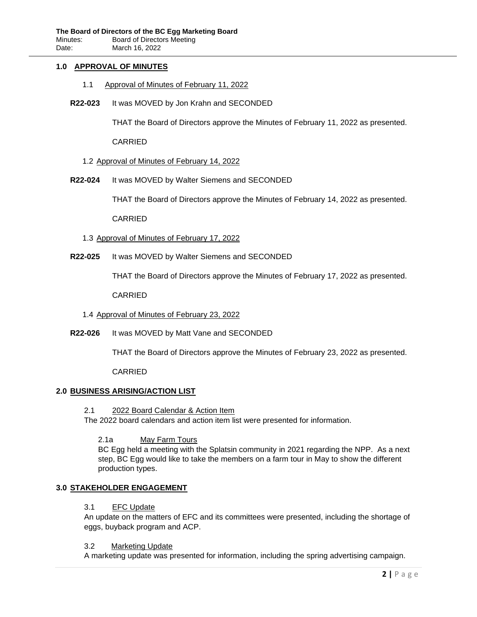# **1.0 APPROVAL OF MINUTES**

- 1.1 Approval of Minutes of February 11, 2022
- **R22-023** It was MOVED by Jon Krahn and SECONDED

THAT the Board of Directors approve the Minutes of February 11, 2022 as presented.

CARRIED

# 1.2 Approval of Minutes of February 14, 2022

**R22-024** It was MOVED by Walter Siemens and SECONDED

THAT the Board of Directors approve the Minutes of February 14, 2022 as presented.

CARRIED

- 1.3 Approval of Minutes of February 17, 2022
- **R22-025** It was MOVED by Walter Siemens and SECONDED

THAT the Board of Directors approve the Minutes of February 17, 2022 as presented.

CARRIED

- 1.4 Approval of Minutes of February 23, 2022
- **R22-026** It was MOVED by Matt Vane and SECONDED

THAT the Board of Directors approve the Minutes of February 23, 2022 as presented.

CARRIED

# **2.0 BUSINESS ARISING/ACTION LIST**

# 2.1 2022 Board Calendar & Action Item

The 2022 board calendars and action item list were presented for information.

2.1a May Farm Tours

BC Egg held a meeting with the Splatsin community in 2021 regarding the NPP. As a next step, BC Egg would like to take the members on a farm tour in May to show the different production types.

# **3.0 STAKEHOLDER ENGAGEMENT**

# 3.1 EFC Update

An update on the matters of EFC and its committees were presented, including the shortage of eggs, buyback program and ACP.

# 3.2 Marketing Update

A marketing update was presented for information, including the spring advertising campaign.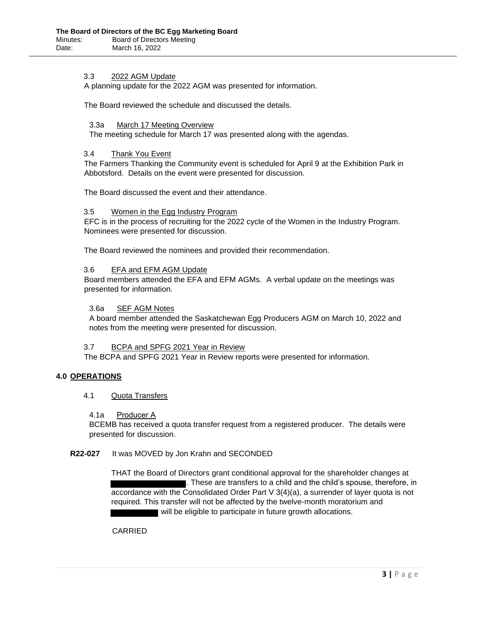# 3.3 2022 AGM Update

A planning update for the 2022 AGM was presented for information.

The Board reviewed the schedule and discussed the details.

#### 3.3a March 17 Meeting Overview

The meeting schedule for March 17 was presented along with the agendas.

### 3.4 Thank You Event

The Farmers Thanking the Community event is scheduled for April 9 at the Exhibition Park in Abbotsford. Details on the event were presented for discussion.

The Board discussed the event and their attendance.

#### 3.5 Women in the Egg Industry Program

EFC is in the process of recruiting for the 2022 cycle of the Women in the Industry Program. Nominees were presented for discussion.

The Board reviewed the nominees and provided their recommendation.

# 3.6 EFA and EFM AGM Update

Board members attended the EFA and EFM AGMs. A verbal update on the meetings was presented for information.

### 3.6a SEF AGM Notes

A board member attended the Saskatchewan Egg Producers AGM on March 10, 2022 and notes from the meeting were presented for discussion.

# 3.7 BCPA and SPFG 2021 Year in Review

The BCPA and SPFG 2021 Year in Review reports were presented for information.

# **4.0 OPERATIONS**

4.1 Quota Transfers

# 4.1a Producer A

BCEMB has received a quota transfer request from a registered producer. The details were presented for discussion.

# **R22-027** It was MOVED by Jon Krahn and SECONDED

THAT the Board of Directors grant conditional approval for the shareholder changes at . These are transfers to a child and the child's spouse, therefore, in accordance with the Consolidated Order Part V 3(4)(a), a surrender of layer quota is not required. This transfer will not be affected by the twelve-month moratorium and will be eligible to participate in future growth allocations.

# CARRIED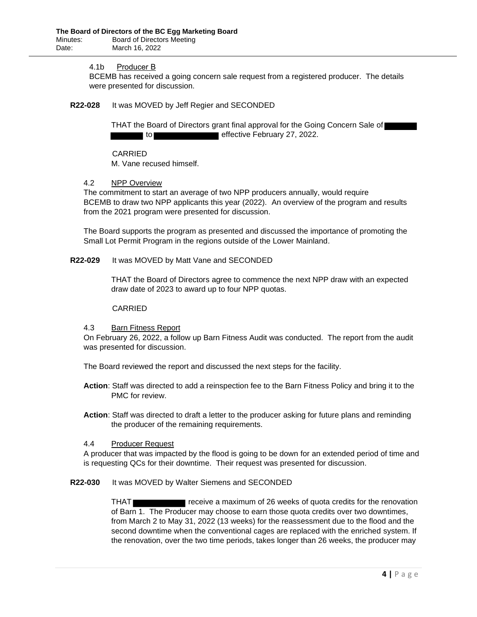# 4.1b Producer B

BCEMB has received a going concern sale request from a registered producer. The details were presented for discussion.

### **R22-028** It was MOVED by Jeff Regier and SECONDED

THAT the Board of Directors grant final approval for the Going Concern Sale of to **effective February 27, 2022.** 

CARRIED M. Vane recused himself.

#### 4.2 NPP Overview

The commitment to start an average of two NPP producers annually, would require BCEMB to draw two NPP applicants this year (2022). An overview of the program and results from the 2021 program were presented for discussion.

The Board supports the program as presented and discussed the importance of promoting the Small Lot Permit Program in the regions outside of the Lower Mainland.

#### **R22-029** It was MOVED by Matt Vane and SECONDED

THAT the Board of Directors agree to commence the next NPP draw with an expected draw date of 2023 to award up to four NPP quotas.

### CARRIED

# 4.3 Barn Fitness Report

On February 26, 2022, a follow up Barn Fitness Audit was conducted. The report from the audit was presented for discussion.

The Board reviewed the report and discussed the next steps for the facility.

- **Action**: Staff was directed to add a reinspection fee to the Barn Fitness Policy and bring it to the PMC for review.
- **Action**: Staff was directed to draft a letter to the producer asking for future plans and reminding the producer of the remaining requirements.

#### 4.4 Producer Request

A producer that was impacted by the flood is going to be down for an extended period of time and is requesting QCs for their downtime. Their request was presented for discussion.

# **R22-030** It was MOVED by Walter Siemens and SECONDED

THAT receive a maximum of 26 weeks of quota credits for the renovation of Barn 1. The Producer may choose to earn those quota credits over two downtimes, from March 2 to May 31, 2022 (13 weeks) for the reassessment due to the flood and the second downtime when the conventional cages are replaced with the enriched system. If the renovation, over the two time periods, takes longer than 26 weeks, the producer may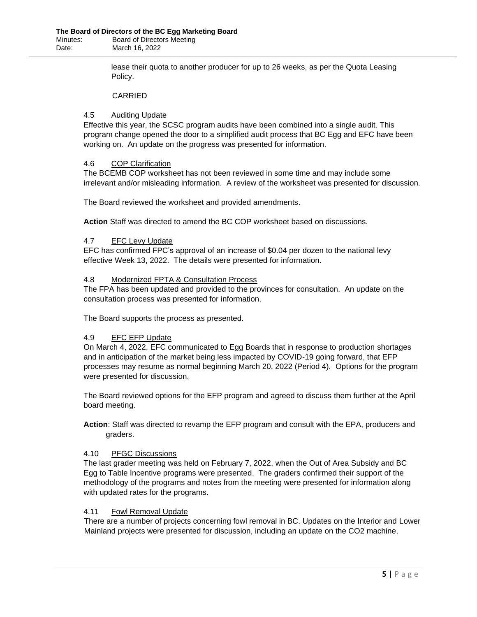lease their quota to another producer for up to 26 weeks, as per the Quota Leasing Policy.

# CARRIED

# 4.5 Auditing Update

Effective this year, the SCSC program audits have been combined into a single audit. This program change opened the door to a simplified audit process that BC Egg and EFC have been working on. An update on the progress was presented for information.

# 4.6 COP Clarification

The BCEMB COP worksheet has not been reviewed in some time and may include some irrelevant and/or misleading information. A review of the worksheet was presented for discussion.

The Board reviewed the worksheet and provided amendments.

**Action** Staff was directed to amend the BC COP worksheet based on discussions.

# 4.7 EFC Levy Update

EFC has confirmed FPC's approval of an increase of \$0.04 per dozen to the national levy effective Week 13, 2022. The details were presented for information.

# 4.8 Modernized FPTA & Consultation Process

The FPA has been updated and provided to the provinces for consultation. An update on the consultation process was presented for information.

The Board supports the process as presented.

# 4.9 EFC EFP Update

On March 4, 2022, EFC communicated to Egg Boards that in response to production shortages and in anticipation of the market being less impacted by COVID-19 going forward, that EFP processes may resume as normal beginning March 20, 2022 (Period 4). Options for the program were presented for discussion.

The Board reviewed options for the EFP program and agreed to discuss them further at the April board meeting.

**Action**: Staff was directed to revamp the EFP program and consult with the EPA, producers and graders.

# 4.10 PFGC Discussions

The last grader meeting was held on February 7, 2022, when the Out of Area Subsidy and BC Egg to Table Incentive programs were presented. The graders confirmed their support of the methodology of the programs and notes from the meeting were presented for information along with updated rates for the programs.

# 4.11 Fowl Removal Update

There are a number of projects concerning fowl removal in BC. Updates on the Interior and Lower Mainland projects were presented for discussion, including an update on the CO2 machine.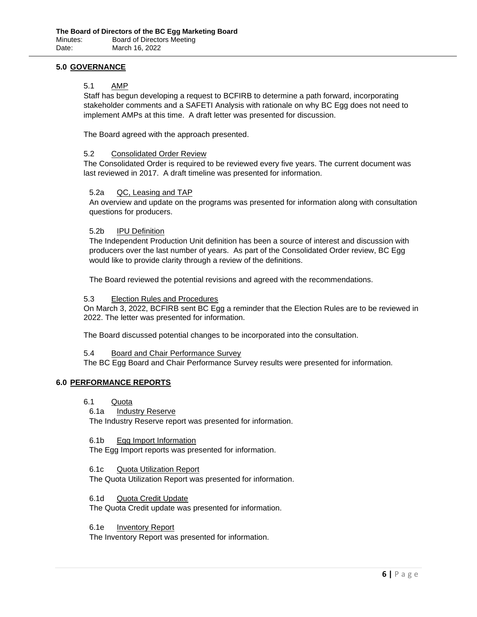# **5.0 GOVERNANCE**

# 5.1 AMP

Staff has begun developing a request to BCFIRB to determine a path forward, incorporating stakeholder comments and a SAFETI Analysis with rationale on why BC Egg does not need to implement AMPs at this time. A draft letter was presented for discussion.

The Board agreed with the approach presented.

### 5.2 Consolidated Order Review

The Consolidated Order is required to be reviewed every five years. The current document was last reviewed in 2017. A draft timeline was presented for information.

# 5.2a QC, Leasing and TAP

An overview and update on the programs was presented for information along with consultation questions for producers.

#### 5.2b IPU Definition

The Independent Production Unit definition has been a source of interest and discussion with producers over the last number of years. As part of the Consolidated Order review, BC Egg would like to provide clarity through a review of the definitions.

The Board reviewed the potential revisions and agreed with the recommendations.

#### 5.3 Election Rules and Procedures

On March 3, 2022, BCFIRB sent BC Egg a reminder that the Election Rules are to be reviewed in 2022. The letter was presented for information.

The Board discussed potential changes to be incorporated into the consultation.

#### 5.4 Board and Chair Performance Survey

The BC Egg Board and Chair Performance Survey results were presented for information.

# **6.0 PERFORMANCE REPORTS**

- 6.1 Quota
- 6.1a **Industry Reserve**

The Industry Reserve report was presented for information.

#### 6.1b Egg Import Information

The Egg Import reports was presented for information.

#### 6.1c Quota Utilization Report

The Quota Utilization Report was presented for information.

#### 6.1d Quota Credit Update

The Quota Credit update was presented for information.

### 6.1e Inventory Report

The Inventory Report was presented for information.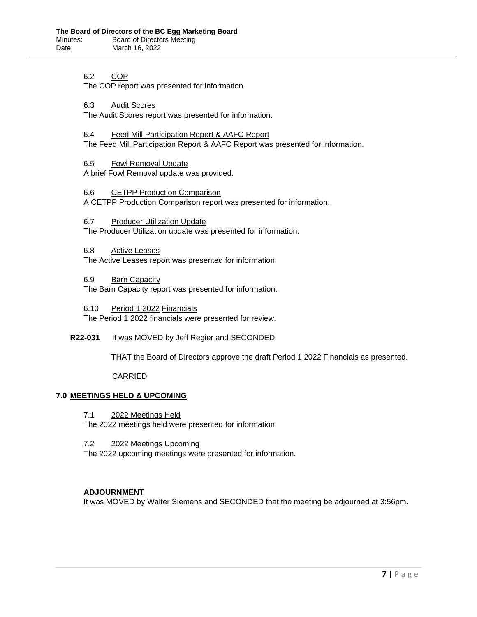6.2 COP

The COP report was presented for information.

6.3 Audit Scores

The Audit Scores report was presented for information.

#### 6.4 Feed Mill Participation Report & AAFC Report

The Feed Mill Participation Report & AAFC Report was presented for information.

6.5 Fowl Removal Update

A brief Fowl Removal update was provided.

# 6.6 CETPP Production Comparison

A CETPP Production Comparison report was presented for information.

6.7 Producer Utilization Update

The Producer Utilization update was presented for information.

6.8 Active Leases

The Active Leases report was presented for information.

6.9 Barn Capacity

The Barn Capacity report was presented for information.

6.10 Period 1 2022 Financials The Period 1 2022 financials were presented for review.

**R22-031** It was MOVED by Jeff Regier and SECONDED

THAT the Board of Directors approve the draft Period 1 2022 Financials as presented.

CARRIED

# **7.0 MEETINGS HELD & UPCOMING**

7.1 2022 Meetings Held

The 2022 meetings held were presented for information.

7.2 2022 Meetings Upcoming

The 2022 upcoming meetings were presented for information.

# **ADJOURNMENT**

It was MOVED by Walter Siemens and SECONDED that the meeting be adjourned at 3:56pm.